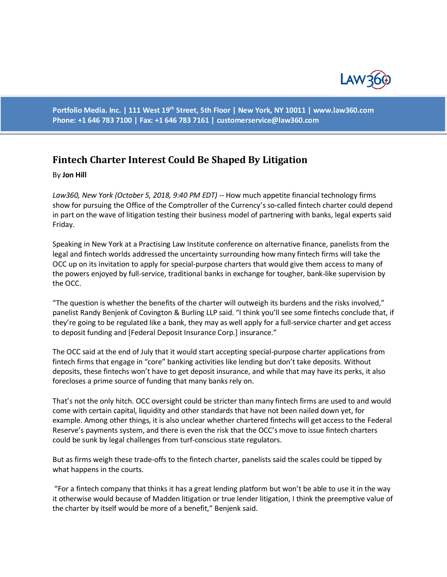

**Portfolio Media. Inc. | 111 West 19th Street, 5th Floor | New York, NY 10011 | www.law360.com Phone: +1 646 783 7100 | Fax: +1 646 783 7161 | [customerservice@law360.com](mailto:customerservice@law360.com)**

## **Fintech Charter Interest Could Be Shaped By Litigation**

## By **Jon Hill**

*Law360, New York (October 5, 2018, 9:40 PM EDT) --* How much appetite financial technology firms show for pursuing the Office of the Comptroller of the Currency's so-called fintech charter could depend in part on the wave of litigation testing their business model of partnering with banks, legal experts said Friday.

Speaking in New York at a Practising Law Institute conference on alternative finance, panelists from the legal and fintech worlds addressed the uncertainty surrounding how many fintech firms will take the OCC up on its invitation to apply for special-purpose charters that would give them access to many of the powers enjoyed by full-service, traditional banks in exchange for tougher, bank-like supervision by the OCC.

"The question is whether the benefits of the charter will outweigh its burdens and the risks involved," panelist Randy Benjenk of Covington & Burling LLP said. "I think you'll see some fintechs conclude that, if they're going to be regulated like a bank, they may as well apply for a full-service charter and get access to deposit funding and [Federal Deposit Insurance Corp.] insurance."

The OCC said at the end of July that it would start accepting special-purpose charter applications from fintech firms that engage in "core" banking activities like lending but don't take deposits. Without deposits, these fintechs won't have to get deposit insurance, and while that may have its perks, it also forecloses a prime source of funding that many banks rely on.

That's not the only hitch. OCC oversight could be stricter than many fintech firms are used to and would come with certain capital, liquidity and other standards that have not been nailed down yet, for example. Among other things, it is also unclear whether chartered fintechs will get access to the Federal Reserve's payments system, and there is even the risk that the OCC's move to issue fintech charters could be sunk by legal challenges from turf-conscious state regulators.

But as firms weigh these trade-offs to the fintech charter, panelists said the scales could be tipped by what happens in the courts.

"For a fintech company that thinks it has a great lending platform but won't be able to use it in the way it otherwise would because of Madden litigation or true lender litigation, I think the preemptive value of the charter by itself would be more of a benefit," Benjenk said.